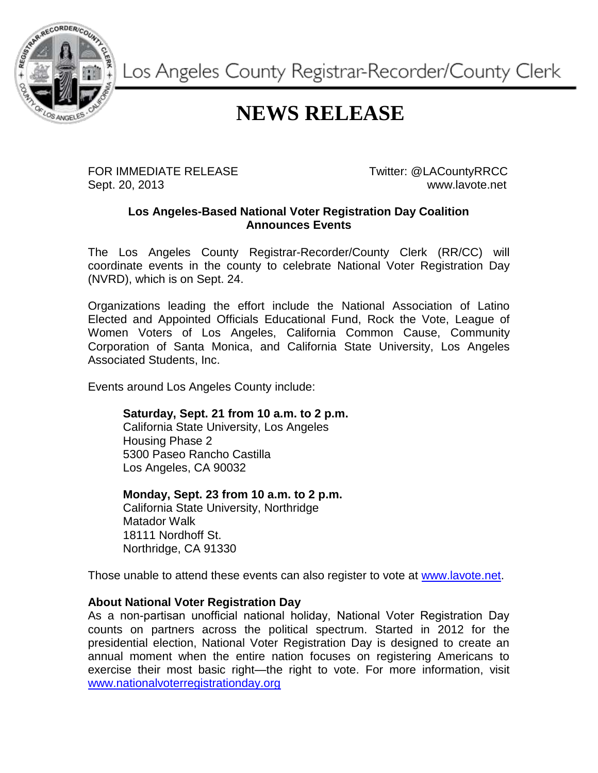

Los Angeles County Registrar-Recorder/County Clerk

## **NEWS RELEASE**

FOR IMMEDIATE RELEASE TWitter: @LACountyRRCC Sept. 20, 2013 www.lavote.net

## **Los Angeles-Based National Voter Registration Day Coalition Announces Events**

The Los Angeles County Registrar-Recorder/County Clerk (RR/CC) will coordinate events in the county to celebrate National Voter Registration Day (NVRD), which is on Sept. 24.

Organizations leading the effort include the National Association of Latino Elected and Appointed Officials Educational Fund, Rock the Vote, League of Women Voters of Los Angeles, California Common Cause, Community Corporation of Santa Monica, and California State University, Los Angeles Associated Students, Inc.

Events around Los Angeles County include:

**Saturday, Sept. 21 from 10 a.m. to 2 p.m.**

California State University, Los Angeles Housing Phase 2 5300 Paseo Rancho Castilla Los Angeles, CA 90032

**Monday, Sept. 23 from 10 a.m. to 2 p.m.**

California State University, Northridge Matador Walk 18111 Nordhoff St. Northridge, CA 91330

Those unable to attend these events can also register to vote at [www.lavote.net.](http://www.lavote.net/)

## **About National Voter Registration Day**

As a non-partisan unofficial national holiday, National Voter Registration Day counts on partners across the political spectrum. Started in 2012 for the presidential election, National Voter Registration Day is designed to create an annual moment when the entire nation focuses on registering Americans to exercise their most basic right—the right to vote. For more information, visit [www.nationalvoterregistrationday.org](http://www.nationalvoterregistrationday.org/)